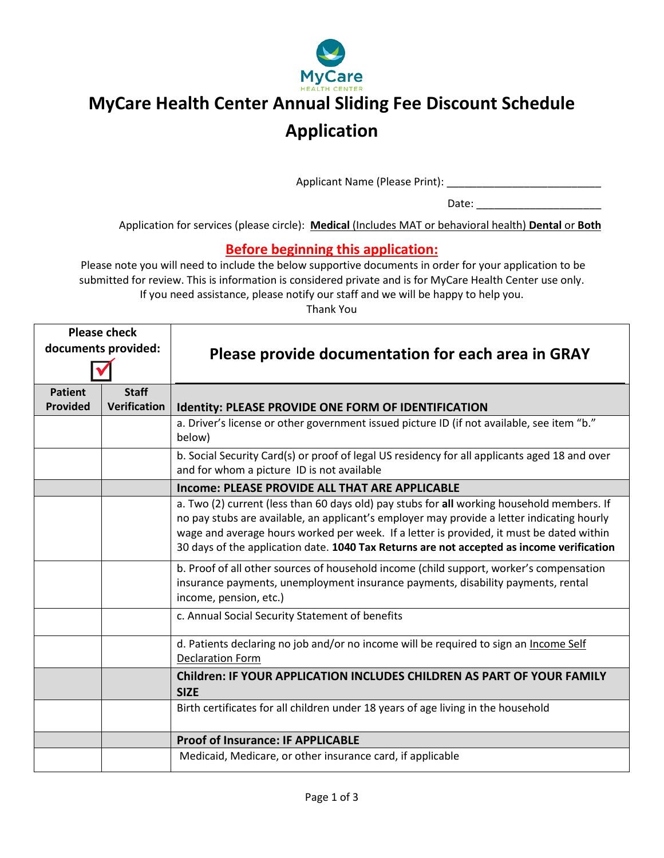

# **MyCare Health Center Annual Sliding Fee Discount Schedule Application**

Applicant Name (Please Print): \_\_\_\_\_\_\_\_\_\_\_\_\_\_\_\_\_\_\_\_\_\_\_\_\_\_

Date: \_\_\_\_\_\_\_\_\_\_\_\_\_\_\_\_\_\_\_\_\_

Application for services (please circle): **Medical** (Includes MAT or behavioral health) **Dental** or **Both**

### **Before beginning this application:**

Please note you will need to include the below supportive documents in order for your application to be submitted for review. This is information is considered private and is for MyCare Health Center use only. If you need assistance, please notify our staff and we will be happy to help you.

Thank You

|                                   | <b>Please check</b><br>documents provided: | Please provide documentation for each area in GRAY                                                                                                                                                                                                                                                                                                                                |
|-----------------------------------|--------------------------------------------|-----------------------------------------------------------------------------------------------------------------------------------------------------------------------------------------------------------------------------------------------------------------------------------------------------------------------------------------------------------------------------------|
| <b>Patient</b><br><b>Provided</b> | <b>Staff</b><br><b>Verification</b>        | Identity: PLEASE PROVIDE ONE FORM OF IDENTIFICATION                                                                                                                                                                                                                                                                                                                               |
|                                   |                                            | a. Driver's license or other government issued picture ID (if not available, see item "b."<br>below)                                                                                                                                                                                                                                                                              |
|                                   |                                            | b. Social Security Card(s) or proof of legal US residency for all applicants aged 18 and over<br>and for whom a picture ID is not available                                                                                                                                                                                                                                       |
|                                   |                                            | Income: PLEASE PROVIDE ALL THAT ARE APPLICABLE                                                                                                                                                                                                                                                                                                                                    |
|                                   |                                            | a. Two (2) current (less than 60 days old) pay stubs for all working household members. If<br>no pay stubs are available, an applicant's employer may provide a letter indicating hourly<br>wage and average hours worked per week. If a letter is provided, it must be dated within<br>30 days of the application date. 1040 Tax Returns are not accepted as income verification |
|                                   |                                            | b. Proof of all other sources of household income (child support, worker's compensation<br>insurance payments, unemployment insurance payments, disability payments, rental<br>income, pension, etc.)                                                                                                                                                                             |
|                                   |                                            | c. Annual Social Security Statement of benefits                                                                                                                                                                                                                                                                                                                                   |
|                                   |                                            | d. Patients declaring no job and/or no income will be required to sign an Income Self<br><b>Declaration Form</b>                                                                                                                                                                                                                                                                  |
|                                   |                                            | <b>Children: IF YOUR APPLICATION INCLUDES CHILDREN AS PART OF YOUR FAMILY</b><br><b>SIZE</b>                                                                                                                                                                                                                                                                                      |
|                                   |                                            | Birth certificates for all children under 18 years of age living in the household                                                                                                                                                                                                                                                                                                 |
|                                   |                                            | <b>Proof of Insurance: IF APPLICABLE</b>                                                                                                                                                                                                                                                                                                                                          |
|                                   |                                            | Medicaid, Medicare, or other insurance card, if applicable                                                                                                                                                                                                                                                                                                                        |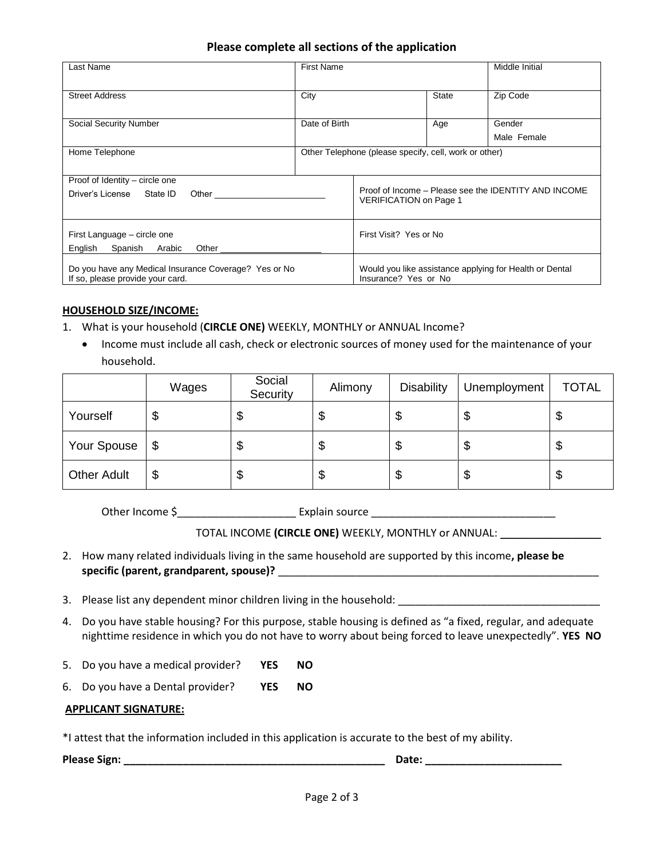#### **Please complete all sections of the application**

| Last Name                                                                                                                                                                                                                                                                                      | <b>First Name</b> |                                                       |              | Middle Initial                                          |
|------------------------------------------------------------------------------------------------------------------------------------------------------------------------------------------------------------------------------------------------------------------------------------------------|-------------------|-------------------------------------------------------|--------------|---------------------------------------------------------|
| <b>Street Address</b>                                                                                                                                                                                                                                                                          | City              |                                                       | <b>State</b> | Zip Code                                                |
| <b>Social Security Number</b>                                                                                                                                                                                                                                                                  | Date of Birth     |                                                       | Age          | Gender<br>Male Female                                   |
| Home Telephone                                                                                                                                                                                                                                                                                 |                   | Other Telephone (please specify, cell, work or other) |              |                                                         |
| Proof of Identity – circle one<br>Driver's License State ID<br>Other the control of the control of the control of the control of the control of the control of the control of the control of the control of the control of the control of the control of the control of the control of the con |                   | <b>VERIFICATION</b> on Page 1                         |              | Proof of Income - Please see the IDENTITY AND INCOME    |
| First Language – circle one<br>English<br>Spanish<br>Arabic<br>Other                                                                                                                                                                                                                           |                   | First Visit? Yes or No                                |              |                                                         |
| Do you have any Medical Insurance Coverage? Yes or No<br>If so, please provide your card.                                                                                                                                                                                                      |                   | Insurance? Yes or No                                  |              | Would you like assistance applying for Health or Dental |

#### **HOUSEHOLD SIZE/INCOME:**

- 1. What is your household (**CIRCLE ONE)** WEEKLY, MONTHLY or ANNUAL Income?
	- Income must include all cash, check or electronic sources of money used for the maintenance of your household.

|                    | Wages | Social<br>Security | Alimony | <b>Disability</b> | Unemployment | <b>TOTAL</b> |
|--------------------|-------|--------------------|---------|-------------------|--------------|--------------|
| Yourself           | \$    | ง                  | J       | Φ                 | \$           | Φ            |
| Your Spouse        | -\$   | ง                  | J       | ง                 | \$           | ง            |
| <b>Other Adult</b> | \$    | ึง                 | \$      | ъ                 | \$           | D            |

Other Income \$\_\_\_\_\_\_\_\_\_\_\_\_\_\_\_\_\_\_\_\_ Explain source \_\_\_\_\_\_\_\_\_\_\_\_\_\_\_\_\_\_\_\_\_\_\_\_\_\_\_\_\_\_\_

TOTAL INCOME **(CIRCLE ONE)** WEEKLY, MONTHLY or ANNUAL: \_\_\_\_\_\_\_\_\_\_\_\_\_\_\_\_\_

- 2. How many related individuals living in the same household are supported by this income**, please be specific (parent, grandparent, spouse)?** \_\_\_\_\_\_\_\_\_\_\_\_\_\_\_\_\_\_\_\_\_\_\_\_\_\_\_\_\_\_\_\_\_\_\_\_\_\_\_\_\_\_\_\_\_\_\_\_\_\_\_\_\_\_
- 3. Please list any dependent minor children living in the household: \_\_\_\_\_\_\_\_\_\_\_\_\_\_\_\_\_\_\_\_\_\_\_\_\_\_\_\_\_\_\_\_\_\_
- 4. Do you have stable housing? For this purpose, stable housing is defined as "a fixed, regular, and adequate nighttime residence in which you do not have to worry about being forced to leave unexpectedly". **YES NO**
- 5. Do you have a medical provider? **YES NO**
- 6. Do you have a Dental provider? **YES NO**

#### **APPLICANT SIGNATURE:**

\*I attest that the information included in this application is accurate to the best of my ability.

**Please Sign: \_\_\_\_\_\_\_\_\_\_\_\_\_\_\_\_\_\_\_\_\_\_\_\_\_\_\_\_\_\_\_\_\_\_\_\_\_\_\_\_\_\_\_\_ Date: \_\_\_\_\_\_\_\_\_\_\_\_\_\_\_\_\_\_\_\_\_\_\_**